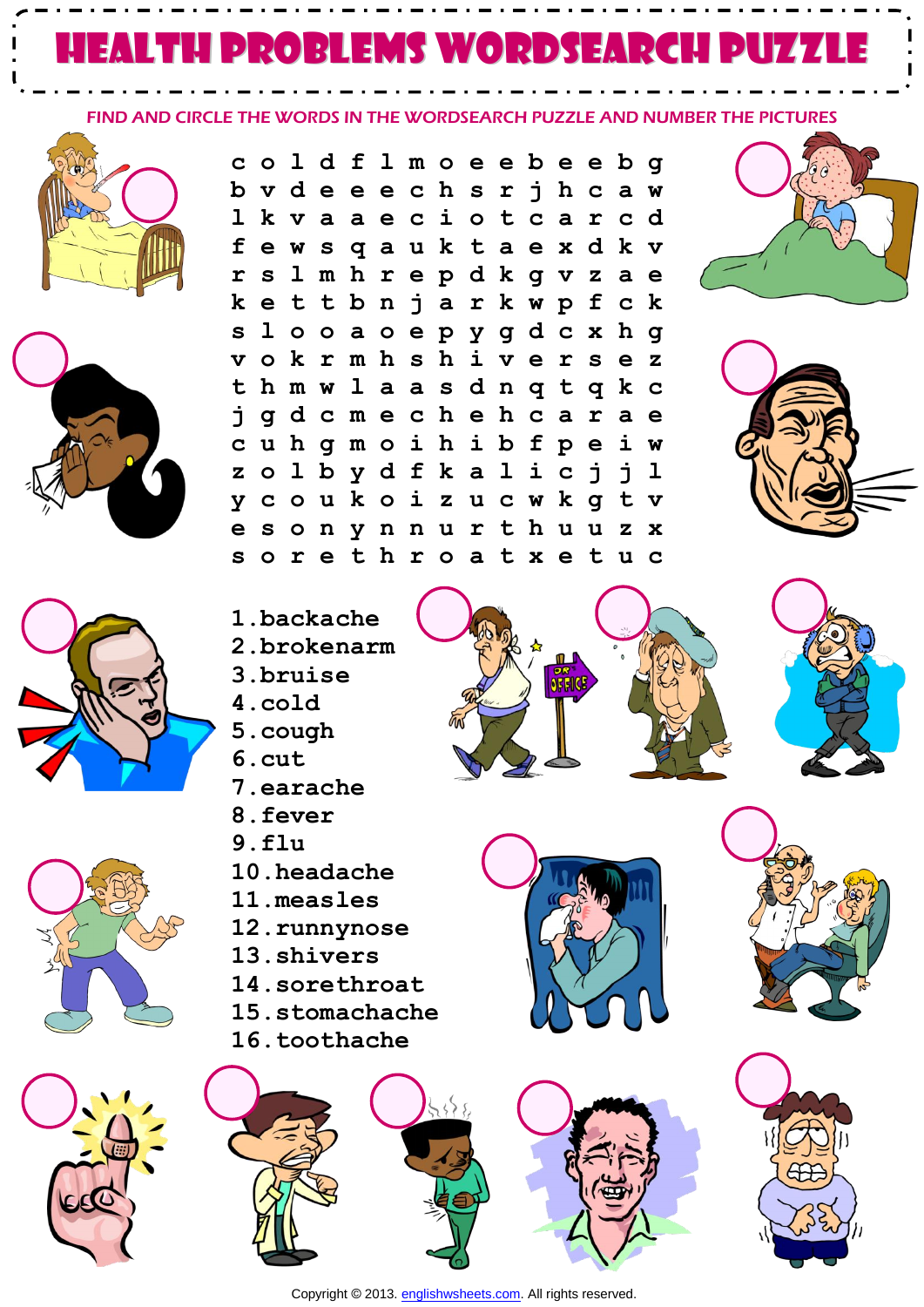## health problems WORDSEARCH PUZZLE

FIND AND CIRCLE THE WORDS IN THE WORDSEARCH PUZZLE AND NUMBER THE PICTURES











**c o l d f l m o e e b e e b g b v d e e e c h s r j h c a w l k v a a e c i o t c a r c d f e w s q a u k t a e x d k v r s l m h r e p d k g v z a e k e t t b n j a r k w p f c k s l o o a o e p y g d c x h g v o k r m h s h i v e r s e z t h m w l a a s d n q t q k c j g d c m e c h e h c a r a e c u h g m o i h i b f p e i w z o l b y d f k a l i c j j l y c o u k o i z u c w k g t v e s o n y n n u r t h u u z x s o r e t h r o a t x e t u c** 







- **3.bruise**
- **4.cold**
- **5.cough**
- **6.cut**
- **7.earache**
- **8.fever**
- **9.flu**
- **10.headache**
- **11.measles**
- **12.runnynose**
- **13.shivers**
- **14.sorethroat**
- **15.stomachache**
- **16.toothache**









Copyright © 2013. [englishwsheets.com.](http://www.englishwsheets.com/) All rights reserved.